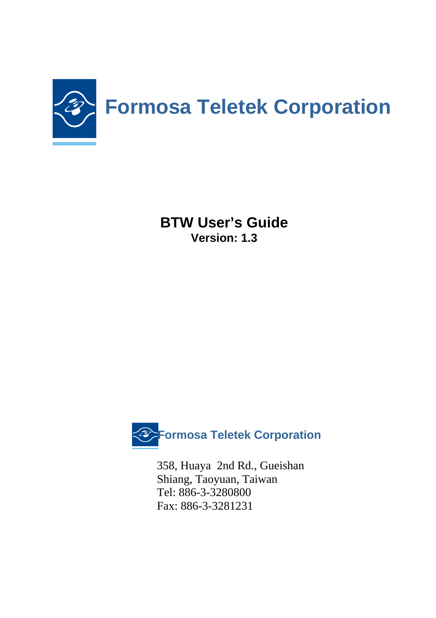

**BTW User's Guide Version: 1.3** 



358, Huaya 2nd Rd., Gueishan Shiang, Taoyuan, Taiwan Tel: 886-3-3280800 Fax: 886-3-3281231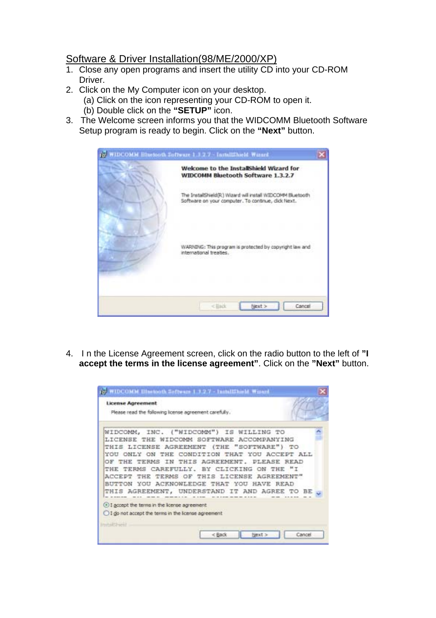## Software & Driver Installation(98/ME/2000/XP)

- 1. Close any open programs and insert the utility CD into your CD-ROM Driver.
- 2. Click on the My Computer icon on your desktop.
	- (a) Click on the icon representing your CD-ROM to open it.
	- (b) Double click on the **"SETUP"** icon.
- 3. The Welcome screen informs you that the WIDCOMM Bluetooth Software Setup program is ready to begin. Click on the **"Next"** button.

| WIDCOMM Bluetooth Software 1.3.2.7 - InstallShield Wizard                                                        |  |
|------------------------------------------------------------------------------------------------------------------|--|
| Welcome to the InstallShield Wizard for<br>WIDCOMM Bluetooth Software 1.3.2.7                                    |  |
| The InstalShield(R) Wizard will install WIDCOMM Bluetooth<br>Software on your computer. To continue, click Next. |  |
| WARNING: This program is protected by copyright law and<br>international treaties.                               |  |
| $<$ Rack<br>Next ><br>Cancel                                                                                     |  |

4. I n the License Agreement screen, click on the radio button to the left of **"I accept the terms in the license agreement"**. Click on the **"Next"** button.

| <b>License Agreement</b><br>Please read the following license agreement carefully.                                                                                                                                                                                                                                                                                                                                            |      |
|-------------------------------------------------------------------------------------------------------------------------------------------------------------------------------------------------------------------------------------------------------------------------------------------------------------------------------------------------------------------------------------------------------------------------------|------|
| WIDCOMM, INC. ("WIDCOMM") IS WILLING TO<br>LICENSE THE WIDCOMM SOFTWARE ACCOMPANYING<br>THIS LICENSE AGREEMENT (THE "SOFTWARE") TO<br>YOU ONLY ON THE CONDITION THAT YOU ACCEPT ALL<br>TERMS IN THIS AGREEMENT, DLEASE READ<br>THE<br>THE TERMS CAREFULLY. BY CLICKING ON THE "I<br>THE TERMS OF THIS LICENSE AGREEMENT"<br>ACCEPT<br>BUTTON YOU ACKNOWLEDGE THAT YOU HAVE READ<br>THIS AGREEMENT, UNDERSTAND IT AND AGREE TO | - BE |
| 4 I accept the terms in the Icense agreement<br>1 do not accept the terms in the Icense agreement<br><b>InstallShare</b>                                                                                                                                                                                                                                                                                                      |      |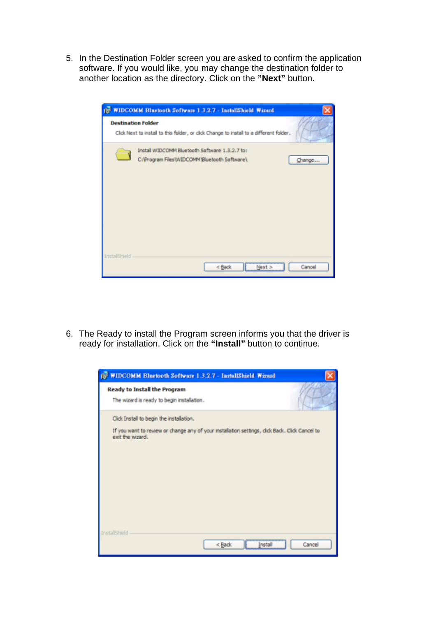5. In the Destination Folder screen you are asked to confirm the application software. If you would like, you may change the destination folder to another location as the directory. Click on the **"Next"** button.

|               | (C WIDCOMM Bluetooth Software 1.3.2.7 - InstallShield Wizard                                                         |
|---------------|----------------------------------------------------------------------------------------------------------------------|
|               | <b>Destination Folder</b><br>Click Next to install to this folder, or click Change to install to a different folder. |
|               | Install WIDCOMM Bluetooth Software 1.3.2.7 to:<br>C:\Program Files\WIDCOMM\Bluetooth Software\<br>Change             |
| InstallShield | Next<br>Cancel<br>< Back                                                                                             |

6. The Ready to install the Program screen informs you that the driver is ready for installation. Click on the **"Install"** button to continue.

| <b>IS WIDCOMM Bluetooth Software 1.3.2.7 - InstallShield Wizard</b>                                                |        |
|--------------------------------------------------------------------------------------------------------------------|--------|
| <b>Ready to Install the Program</b><br>The wizard is ready to begin installation.                                  |        |
|                                                                                                                    |        |
| Click Install to begin the installation.                                                                           |        |
| If you want to review or change any of your installation settings, click Back. Click Cancel to<br>exit the wizard. |        |
|                                                                                                                    |        |
|                                                                                                                    |        |
|                                                                                                                    |        |
|                                                                                                                    |        |
|                                                                                                                    |        |
| <b>InstallShield</b>                                                                                               |        |
| < Back<br>Insta                                                                                                    | Cancel |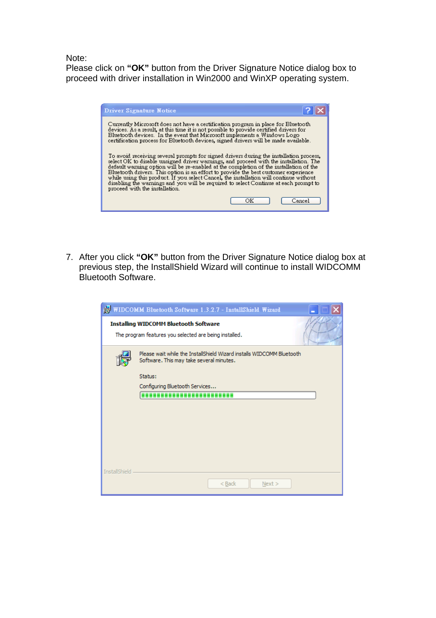Note:

Please click on **"OK"** button from the Driver Signature Notice dialog box to proceed with driver installation in Win2000 and WinXP operating system.

| Driver Signature Notice                                                                                                                                                                                                                                                                                                                                                                                                                                                                                                                                                              |  |
|--------------------------------------------------------------------------------------------------------------------------------------------------------------------------------------------------------------------------------------------------------------------------------------------------------------------------------------------------------------------------------------------------------------------------------------------------------------------------------------------------------------------------------------------------------------------------------------|--|
| Currently Microsoft does not have a certification program in place for Bluetooth.<br>devices. As a result, at this time it is not possible to provide certified drivers for<br>Bluetooth devices. In the event that Microsoft implements a Windows Logo<br>certification process for Bluetooth devices, signed drivers will be made available.                                                                                                                                                                                                                                       |  |
| To avoid receiving several prompts for signed drivers during the installation process,<br>select OK to disable unsigned driver warnings, and proceed with the installation. The<br>default warning option will be re-enabled at the completion of the installation of the<br>Bluetooth drivers. This option is an effort to provide the best customer experience<br>while using this product. If you select Cancel, the installation will continue without<br>disabling the warnings and you will be required to select Continue at each prompt to<br>proceed with the installation. |  |
| Cancel                                                                                                                                                                                                                                                                                                                                                                                                                                                                                                                                                                               |  |

7. After you click **"OK"** button from the Driver Signature Notice dialog box at previous step, the InstallShield Wizard will continue to install WIDCOMM Bluetooth Software.

|                      | WIDCOMM Bluetooth Software 1.3.2.7 - InstallShield Wizard                                                         |
|----------------------|-------------------------------------------------------------------------------------------------------------------|
|                      | <b>Installing WIDCOMM Bluetooth Software</b><br>The program features you selected are being installed.            |
|                      | Please wait while the InstallShield Wizard installs WIDCOMM Bluetooth<br>Software. This may take several minutes. |
|                      | Status:                                                                                                           |
|                      | Configuring Bluetooth Services                                                                                    |
|                      |                                                                                                                   |
|                      |                                                                                                                   |
|                      |                                                                                                                   |
|                      |                                                                                                                   |
|                      |                                                                                                                   |
|                      |                                                                                                                   |
|                      |                                                                                                                   |
|                      |                                                                                                                   |
| <b>InstallShield</b> | $<$ Back<br>Next >                                                                                                |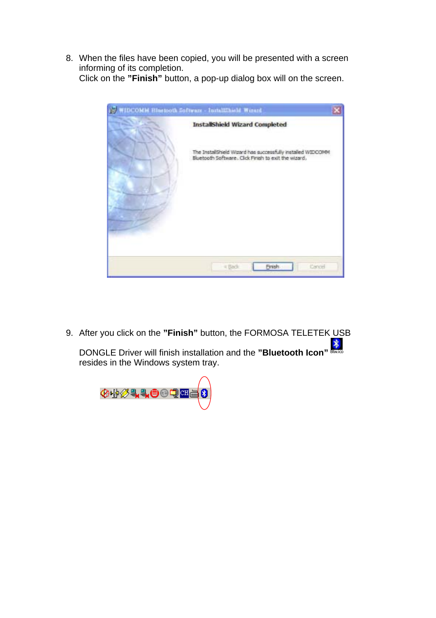8. When the files have been copied, you will be presented with a screen informing of its completion.

Click on the **"Finish"** button, a pop-up dialog box will on the screen.



9. After you click on the **"Finish"** button, the FORMOSA TELETEK USB

**EXECUTE:**<br>DONGLE Driver will finish installation and the "Bluetooth Icon" Blues resides in the Windows system tray.

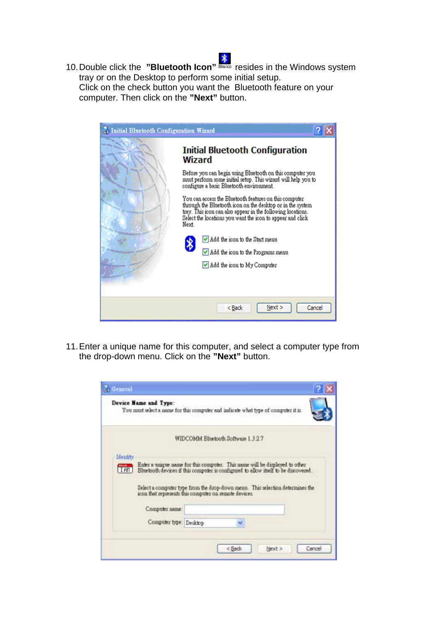10. Double click the **"Bluetooth Icon"** Boxico resides in the Windows system tray or on the Desktop to perform some initial setup. Click on the check button you want the Bluetooth feature on your computer. Then click on the **"Next"** button.



11. Enter a unique name for this computer, and select a computer type from the drop-down menu. Click on the **"Next"** button.

|                         | Device Name and Type:<br>You must select a name for this computer and indicate what type of computer it is.                                                                                                                                                                                                                                            |
|-------------------------|--------------------------------------------------------------------------------------------------------------------------------------------------------------------------------------------------------------------------------------------------------------------------------------------------------------------------------------------------------|
|                         | WIDCOMM Blackooth Software 1 3 2 7                                                                                                                                                                                                                                                                                                                     |
| <b>Identity</b><br>I An | Enter a unique name for this computer. This name will be displayed to other<br>Bluetooth devices if this computer is configured to allow studi to be discovered.<br>Select a computer type from the drop-down menu. This selection determines the<br>icon that represents this computer on remote devices.<br>Computer name:<br>Computer type: Deaktop |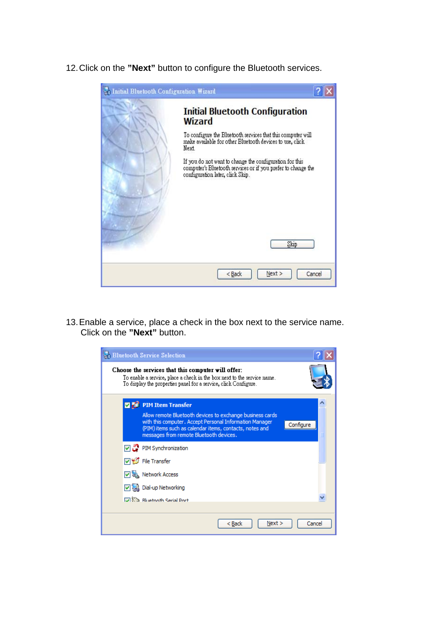12. Click on the **"Next"** button to configure the Bluetooth services.



13. Enable a service, place a check in the box next to the service name. Click on the **"Next"** button.

|    | <b>Bluetooth Service Selection</b>                                                                                                                                                                                                                                  |        |
|----|---------------------------------------------------------------------------------------------------------------------------------------------------------------------------------------------------------------------------------------------------------------------|--------|
|    | Choose the services that this computer will offer:<br>To enable a service, place a check in the box next to the service name.<br>To display the properties panel for a service, click Configure.                                                                    |        |
| 図題 | <b>PIM Item Transfer</b><br>Allow remote Bluetooth devices to exchange business cards<br>with this computer. Accept Personal Information Manager<br>Configure<br>(PIM) items such as calendar items, contacts, notes and<br>messages from remote Bluetooth devices. |        |
|    | PIM Synchronization<br>V <del>V</del> File Transfer<br><b>V</b> & Network Access<br>V & Dial-up Networking<br><b>IVI Solar Rivetopth Serial Port</b>                                                                                                                |        |
|    | Next<br>< Back                                                                                                                                                                                                                                                      | Cancel |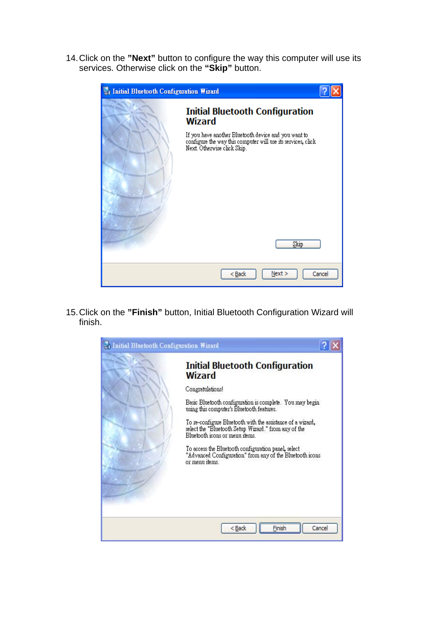14. Click on the **"Next"** button to configure the way this computer will use its services. Otherwise click on the **"Skip"** button.

| <b>Initial Bluetooth Configuration Wizard</b> |                                                                                                                                                     |        |
|-----------------------------------------------|-----------------------------------------------------------------------------------------------------------------------------------------------------|--------|
|                                               | <b>Initial Bluetooth Configuration</b><br><b>Wizard</b>                                                                                             |        |
|                                               | If you have another Bluetooth device and you want to<br>configure the way this computer will use its services, click<br>Next. Otherwise click Skip. |        |
|                                               | Skip                                                                                                                                                |        |
|                                               | Next ><br>$Back$                                                                                                                                    | Cancel |

15. Click on the **"Finish"** button, Initial Bluetooth Configuration Wizard will finish.